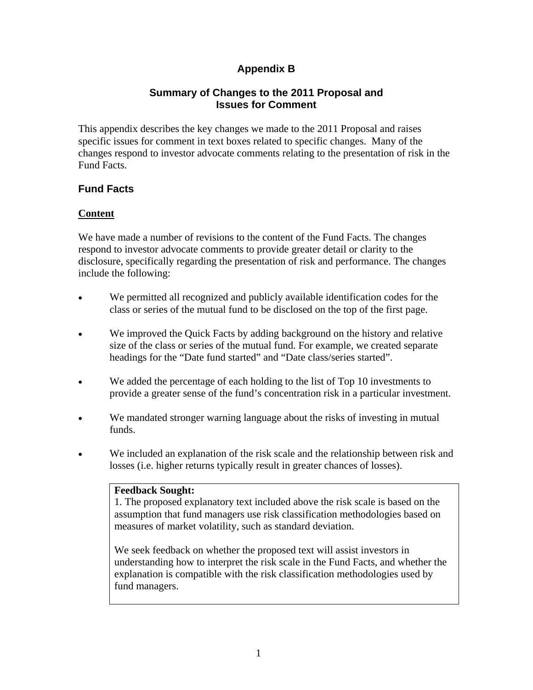# **Appendix B**

## **Summary of Changes to the 2011 Proposal and Issues for Comment**

This appendix describes the key changes we made to the 2011 Proposal and raises specific issues for comment in text boxes related to specific changes. Many of the changes respond to investor advocate comments relating to the presentation of risk in the Fund Facts.

# **Fund Facts**

## **Content**

We have made a number of revisions to the content of the Fund Facts. The changes respond to investor advocate comments to provide greater detail or clarity to the disclosure, specifically regarding the presentation of risk and performance. The changes include the following:

- We permitted all recognized and publicly available identification codes for the class or series of the mutual fund to be disclosed on the top of the first page.
- We improved the Quick Facts by adding background on the history and relative size of the class or series of the mutual fund. For example, we created separate headings for the "Date fund started" and "Date class/series started".
- We added the percentage of each holding to the list of Top 10 investments to provide a greater sense of the fund's concentration risk in a particular investment.
- We mandated stronger warning language about the risks of investing in mutual funds.
- We included an explanation of the risk scale and the relationship between risk and losses (i.e. higher returns typically result in greater chances of losses).

#### **Feedback Sought:**

1. The proposed explanatory text included above the risk scale is based on the assumption that fund managers use risk classification methodologies based on measures of market volatility, such as standard deviation.

We seek feedback on whether the proposed text will assist investors in understanding how to interpret the risk scale in the Fund Facts, and whether the explanation is compatible with the risk classification methodologies used by fund managers.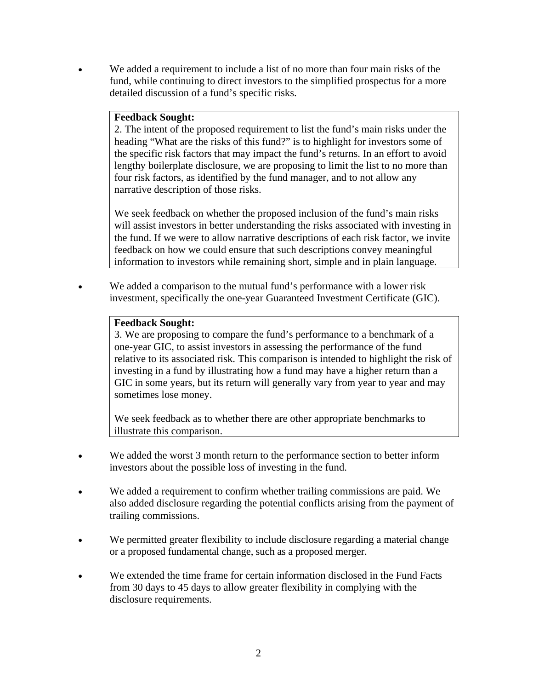We added a requirement to include a list of no more than four main risks of the fund, while continuing to direct investors to the simplified prospectus for a more detailed discussion of a fund's specific risks.

#### **Feedback Sought:**

2. The intent of the proposed requirement to list the fund's main risks under the heading "What are the risks of this fund?" is to highlight for investors some of the specific risk factors that may impact the fund's returns. In an effort to avoid lengthy boilerplate disclosure, we are proposing to limit the list to no more than four risk factors, as identified by the fund manager, and to not allow any narrative description of those risks.

We seek feedback on whether the proposed inclusion of the fund's main risks will assist investors in better understanding the risks associated with investing in the fund. If we were to allow narrative descriptions of each risk factor, we invite feedback on how we could ensure that such descriptions convey meaningful information to investors while remaining short, simple and in plain language.

 We added a comparison to the mutual fund's performance with a lower risk investment, specifically the one-year Guaranteed Investment Certificate (GIC).

## **Feedback Sought:**

3. We are proposing to compare the fund's performance to a benchmark of a one-year GIC, to assist investors in assessing the performance of the fund relative to its associated risk. This comparison is intended to highlight the risk of investing in a fund by illustrating how a fund may have a higher return than a GIC in some years, but its return will generally vary from year to year and may sometimes lose money.

We seek feedback as to whether there are other appropriate benchmarks to illustrate this comparison.

- We added the worst 3 month return to the performance section to better inform investors about the possible loss of investing in the fund.
- We added a requirement to confirm whether trailing commissions are paid. We also added disclosure regarding the potential conflicts arising from the payment of trailing commissions.
- We permitted greater flexibility to include disclosure regarding a material change or a proposed fundamental change, such as a proposed merger.
- We extended the time frame for certain information disclosed in the Fund Facts from 30 days to 45 days to allow greater flexibility in complying with the disclosure requirements.